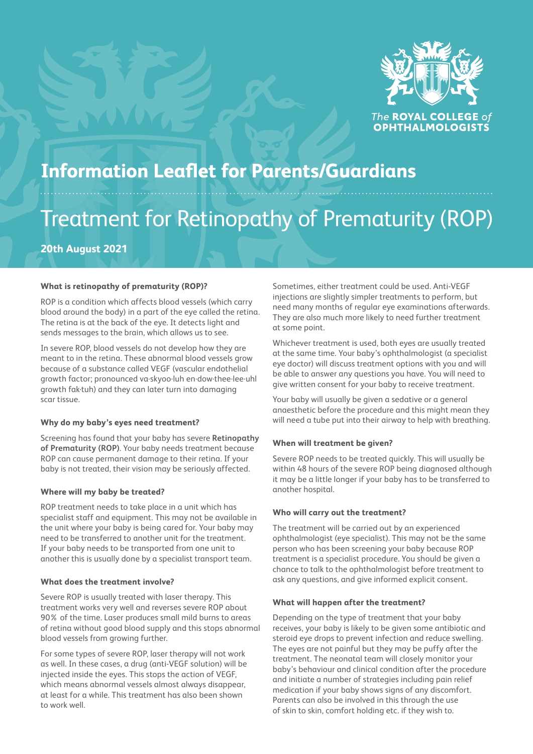

## **Information Leaflet for Parents/Guardians**

# Treatment for Retinopathy of Prematurity (ROP)

**20th August 2021**

#### **What is retinopathy of prematurity (ROP)?**

ROP is a condition which affects blood vessels (which carry blood around the body) in a part of the eye called the retina. The retina is at the back of the eye. It detects light and sends messages to the brain, which allows us to see.

In severe ROP, blood vessels do not develop how they are meant to in the retina. These abnormal blood vessels grow because of a substance called VEGF (vascular endothelial growth factor; pronounced va·skyoo·luh en·dow·thee·lee·uhl growth fak·tuh) and they can later turn into damaging scar tissue.

#### **Why do my baby's eyes need treatment?**

Screening has found that your baby has severe **Retinopathy of Prematurity (ROP)**. Your baby needs treatment because ROP can cause permanent damage to their retina. If your baby is not treated, their vision may be seriously affected.

#### **Where will my baby be treated?**

ROP treatment needs to take place in a unit which has specialist staff and equipment. This may not be available in the unit where your baby is being cared for. Your baby may need to be transferred to another unit for the treatment. If your baby needs to be transported from one unit to another this is usually done by a specialist transport team.

#### **What does the treatment involve?**

Severe ROP is usually treated with laser therapy. This treatment works very well and reverses severe ROP about 90% of the time. Laser produces small mild burns to areas of retina without good blood supply and this stops abnormal blood vessels from growing further.

For some types of severe ROP, laser therapy will not work as well. In these cases, a drug (anti-VEGF solution) will be injected inside the eyes. This stops the action of VEGF, which means abnormal vessels almost always disappear, at least for a while. This treatment has also been shown to work well.

Sometimes, either treatment could be used. Anti-VEGF injections are slightly simpler treatments to perform, but need many months of regular eye examinations afterwards. They are also much more likely to need further treatment at some point.

Whichever treatment is used, both eyes are usually treated at the same time. Your baby's ophthalmologist (a specialist eye doctor) will discuss treatment options with you and will be able to answer any questions you have. You will need to give written consent for your baby to receive treatment.

Your baby will usually be given a sedative or a general anaesthetic before the procedure and this might mean they will need a tube put into their airway to help with breathing.

#### **When will treatment be given?**

Severe ROP needs to be treated quickly. This will usually be within 48 hours of the severe ROP being diagnosed although it may be a little longer if your baby has to be transferred to another hospital.

#### **Who will carry out the treatment?**

The treatment will be carried out by an experienced ophthalmologist (eye specialist). This may not be the same person who has been screening your baby because ROP treatment is a specialist procedure. You should be given a chance to talk to the ophthalmologist before treatment to ask any questions, and give informed explicit consent.

#### **What will happen after the treatment?**

Depending on the type of treatment that your baby receives, your baby is likely to be given some antibiotic and steroid eye drops to prevent infection and reduce swelling. The eyes are not painful but they may be puffy after the treatment. The neonatal team will closely monitor your baby's behaviour and clinical condition after the procedure and initiate a number of strategies including pain relief medication if your baby shows signs of any discomfort. Parents can also be involved in this through the use of skin to skin, comfort holding etc. if they wish to.